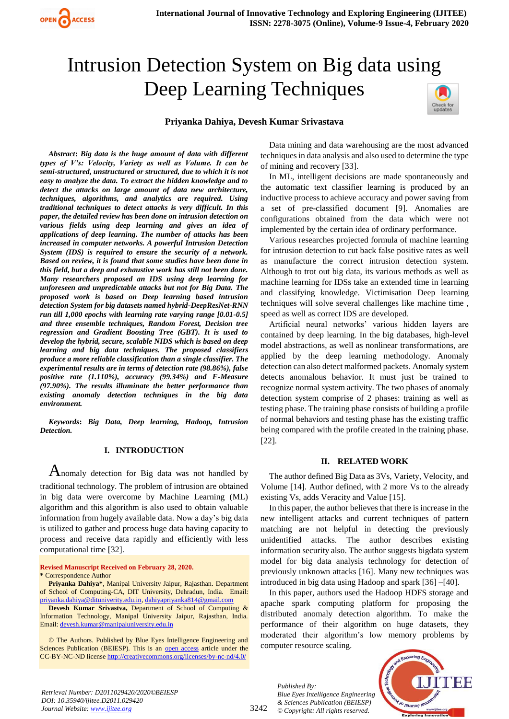# Intrusion Detection System on Big data using Deep Learning Techniques

# **Priyanka Dahiya, Devesh Kumar Srivastava**



*Abstract***:** *Big data is the huge amount of data with different types of V's: Velocity, Variety as well as Volume. It can be semi-structured, unstructured or structured, due to which it is not easy to analyze the data. To extract the hidden knowledge and to detect the attacks on large amount of data new architecture, techniques, algorithms, and analytics are required. Using traditional techniques to detect attacks is very difficult. In this paper, the detailed review has been done on intrusion detection on various fields using deep learning and gives an idea of applications of deep learning. The number of attacks has been increased in computer networks. A powerful Intrusion Detection System (IDS) is required to ensure the security of a network. Based on review, it is found that some studies have been done in this field, but a deep and exhaustive work has still not been done. Many researchers proposed an IDS using deep learning for unforeseen and unpredictable attacks but not for Big Data. The proposed work is based on Deep learning based intrusion detection System for big datasets named hybrid-DeepResNet-RNN run till 1,000 epochs with learning rate varying range [0.01-0.5] and three ensemble techniques, Random Forest, Decision tree regression and Gradient Boosting Tree (GBT). It is used to develop the hybrid, secure, scalable NIDS which is based on deep* 

*learning and big data techniques. The proposed classifiers produce a more reliable classification than a single classifier. The experimental results are in terms of detection rate (98.86%), false positive rate (1.110%), accuracy (99.34%) and F-Measure (97.90%). The results illuminate the better performance than existing anomaly detection techniques in the big data environment.*

*Keywords***:** *Big Data, Deep learning, Hadoop, Intrusion Detection.* 

# **I. INTRODUCTION**

Anomaly detection for Big data was not handled by traditional technology. The problem of intrusion are obtained in big data were overcome by Machine Learning (ML) algorithm and this algorithm is also used to obtain valuable information from hugely available data. Now a day's big data is utilized to gather and process huge data having capacity to process and receive data rapidly and efficiently with less computational time [32].

**Revised Manuscript Received on February 28, 2020. \*** Correspondence Author

**Priyanka Dahiya\***, Manipal University Jaipur, Rajasthan. Department of School of Computing-CA, DIT University, Dehradun, India. Email: [priyanka.dahiya@dituniverity.edu.in,](mailto:priyanka.dahiya@dituniverity.edu.in) [dahiyapriyanka814@gmail.com](mailto:dahiyapriyanka814@gmail.com)

**Devesh Kumar Srivastva,** Department of School of Computing & Information Technology, Manipal University Jaipur, Rajasthan, India. Email: [devesh.kumar@manipaluniversity.edu.in](mailto:devesh.kumar@manipaluniversity.edu.in)

© The Authors. Published by Blue Eyes Intelligence Engineering and Sciences Publication (BEIESP). This is an [open access](https://www.openaccess.nl/en/open-publications) article under the CC-BY-NC-ND licens[e http://creativecommons.org/licenses/by-nc-nd/4.0/](http://creativecommons.org/licenses/by-nc-nd/4.0/)

Data mining and data warehousing are the most advanced techniques in data analysis and also used to determine the type of mining and recovery [33].

In ML, intelligent decisions are made spontaneously and the automatic text classifier learning is produced by an inductive process to achieve accuracy and power saving from a set of pre-classified document [9]. Anomalies are configurations obtained from the data which were not implemented by the certain idea of ordinary performance.

Various researches projected formula of machine learning for intrusion detection to cut back false positive rates as well as manufacture the correct intrusion detection system. Although to trot out big data, its various methods as well as machine learning for IDSs take an extended time in learning and classifying knowledge. Victimisation Deep learning techniques will solve several challenges like machine time , speed as well as correct IDS are developed.

Artificial neural networks' various hidden layers are contained by deep learning. In the big databases, high-level model abstractions, as well as nonlinear transformations, are applied by the deep learning methodology. Anomaly detection can also detect malformed packets. Anomaly system detects anomalous behavior. It must just be trained to recognize normal system activity. The two phases of anomaly detection system comprise of 2 phases: training as well as testing phase. The training phase consists of building a profile of normal behaviors and testing phase has the existing traffic being compared with the profile created in the training phase. [22].

# **II. RELATED WORK**

The author defined Big Data as 3Vs, Variety, Velocity, and Volume [14]. Author defined, with 2 more Vs to the already existing Vs, adds Veracity and Value [15].

In this paper, the author believes that there is increase in the new intelligent attacks and current techniques of pattern matching are not helpful in detecting the previously unidentified attacks. The author describes existing information security also. The author suggests bigdata system model for big data analysis technology for detection of previously unknown attacks [16]. Many new techniques was introduced in big data using Hadoop and spark [36] –[40].

In this paper, authors used the Hadoop HDFS storage and apache spark computing platform for proposing the distributed anomaly detection algorithm. To make the performance of their algorithm on huge datasets, they moderated their algorithm's low memory problems by computer resource scaling.

*Published By: Blue Eyes Intelligence Engineering & Sciences Publication (BEIESP) © Copyright: All rights reserved.*



*Retrieval Number: D2011029420/2020©BEIESP DOI: 10.35940/ijitee.D2011.029420 Journal Website: www.ijitee.org*

3242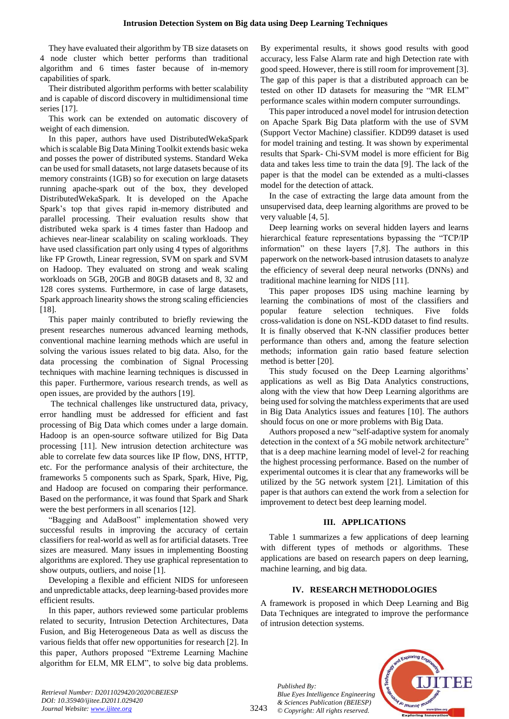They have evaluated their algorithm by TB size datasets on 4 node cluster which better performs than traditional algorithm and 6 times faster because of in-memory capabilities of spark.

Their distributed algorithm performs with better scalability and is capable of discord discovery in multidimensional time series [17].

This work can be extended on automatic discovery of weight of each dimension.

In this paper, authors have used DistributedWekaSpark which is scalable Big Data Mining Toolkit extends basic weka and posses the power of distributed systems. Standard Weka can be used for small datasets, not large datasets because of its memory constraints (1GB) so for execution on large datasets running apache-spark out of the box, they developed DistributedWekaSpark. It is developed on the Apache Spark's top that gives rapid in-memory distributed and parallel processing. Their evaluation results show that distributed weka spark is 4 times faster than Hadoop and achieves near-linear scalability on scaling workloads. They have used classification part only using 4 types of algorithms like FP Growth, Linear regression, SVM on spark and SVM on Hadoop. They evaluated on strong and weak scaling workloads on 5GB, 20GB and 80GB datasets and 8, 32 and 128 cores systems. Furthermore, in case of large datasets, Spark approach linearity shows the strong scaling efficiencies [18].

This paper mainly contributed to briefly reviewing the present researches numerous advanced learning methods, conventional machine learning methods which are useful in solving the various issues related to big data. Also, for the data processing the combination of Signal Processing techniques with machine learning techniques is discussed in this paper. Furthermore, various research trends, as well as open issues, are provided by the authors [19].

The technical challenges like unstructured data, privacy, error handling must be addressed for efficient and fast processing of Big Data which comes under a large domain. Hadoop is an open-source software utilized for Big Data processing [11]. New intrusion detection architecture was able to correlate few data sources like IP flow, DNS, HTTP, etc. For the performance analysis of their architecture, the frameworks 5 components such as Spark, Spark, Hive, Pig, and Hadoop are focused on comparing their performance. Based on the performance, it was found that Spark and Shark were the best performers in all scenarios [12].

"Bagging and AdaBoost" implementation showed very successful results in improving the accuracy of certain classifiers for real-world as well as for artificial datasets. Tree sizes are measured. Many issues in implementing Boosting algorithms are explored. They use graphical representation to show outputs, outliers, and noise [1].

Developing a flexible and efficient NIDS for unforeseen and unpredictable attacks, deep learning-based provides more efficient results.

In this paper, authors reviewed some particular problems related to security, Intrusion Detection Architectures, Data Fusion, and Big Heterogeneous Data as well as discuss the various fields that offer new opportunities for research [2]. In this paper, Authors proposed "Extreme Learning Machine algorithm for ELM, MR ELM", to solve big data problems.

By experimental results, it shows good results with good accuracy, less False Alarm rate and high Detection rate with good speed. However, there is still room for improvement [3]. The gap of this paper is that a distributed approach can be tested on other ID datasets for measuring the "MR ELM" performance scales within modern computer surroundings.

This paper introduced a novel model for intrusion detection on Apache Spark Big Data platform with the use of SVM (Support Vector Machine) classifier. KDD99 dataset is used for model training and testing. It was shown by experimental results that Spark- Chi-SVM model is more efficient for Big data and takes less time to train the data [9]. The lack of the paper is that the model can be extended as a multi-classes model for the detection of attack.

In the case of extracting the large data amount from the unsupervised data, deep learning algorithms are proved to be very valuable [4, 5].

Deep learning works on several hidden layers and learns hierarchical feature representations bypassing the "TCP/IP information" on these layers [7,8]. The authors in this paperwork on the network-based intrusion datasets to analyze the efficiency of several deep neural networks (DNNs) and traditional machine learning for NIDS [11].

This paper proposes IDS using machine learning by learning the combinations of most of the classifiers and popular feature selection techniques. Five folds cross-validation is done on NSL-KDD dataset to find results. It is finally observed that K-NN classifier produces better performance than others and, among the feature selection methods; information gain ratio based feature selection method is better [20].

This study focused on the Deep Learning algorithms' applications as well as Big Data Analytics constructions, along with the view that how Deep Learning algorithms are being used for solving the matchless experiments that are used in Big Data Analytics issues and features [10]. The authors should focus on one or more problems with Big Data.

Authors proposed a new "self-adaptive system for anomaly detection in the context of a 5G mobile network architecture" that is a deep machine learning model of level-2 for reaching the highest processing performance. Based on the number of experimental outcomes it is clear that any frameworks will be utilized by the 5G network system [21]. Limitation of this paper is that authors can extend the work from a selection for improvement to detect best deep learning model.

# **III. APPLICATIONS**

Table 1 summarizes a few applications of deep learning with different types of methods or algorithms. These applications are based on research papers on deep learning, machine learning, and big data.

# **IV. RESEARCH METHODOLOGIES**

A framework is proposed in which Deep Learning and Big Data Techniques are integrated to improve the performance of intrusion detection systems.

*Published By: Blue Eyes Intelligence Engineering & Sciences Publication (BEIESP) © Copyright: All rights reserved.*



*Retrieval Number: D2011029420/2020©BEIESP DOI: 10.35940/ijitee.D2011.029420 Journal Website: www.ijitee.org*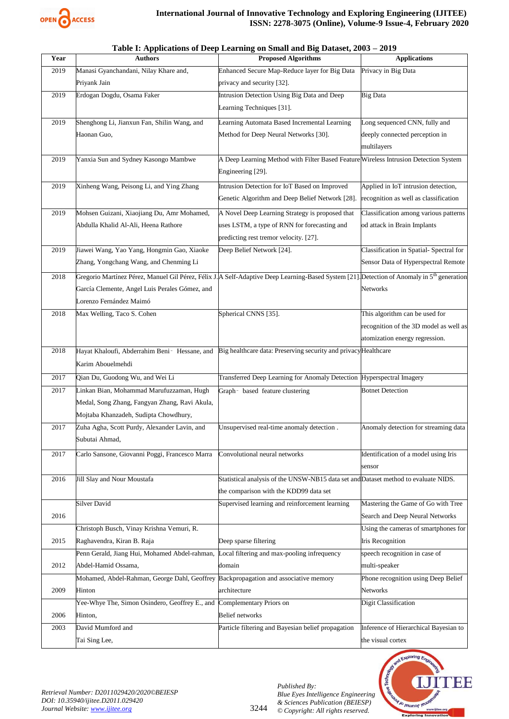

| Year | <b>Authors</b>                                                                      | <b>Proposed Algorithms</b>                                                                                                                              | <b>Applications</b>                     |
|------|-------------------------------------------------------------------------------------|---------------------------------------------------------------------------------------------------------------------------------------------------------|-----------------------------------------|
| 2019 | Manasi Gyanchandani, Nilay Khare and,                                               | Enhanced Secure Map-Reduce layer for Big Data                                                                                                           | Privacy in Big Data                     |
|      | Priyank Jain                                                                        | privacy and security [32].                                                                                                                              |                                         |
| 2019 | Erdogan Dogdu, Osama Faker                                                          | Intrusion Detection Using Big Data and Deep                                                                                                             | Big Data                                |
|      |                                                                                     | Learning Techniques [31].                                                                                                                               |                                         |
| 2019 | Shenghong Li, Jianxun Fan, Shilin Wang, and                                         | Learning Automata Based Incremental Learning                                                                                                            | Long sequenced CNN, fully and           |
|      | Haonan Guo,                                                                         | Method for Deep Neural Networks [30].                                                                                                                   | deeply connected perception in          |
|      |                                                                                     |                                                                                                                                                         | multilayers                             |
| 2019 | Yanxia Sun and Sydney Kasongo Mambwe                                                | A Deep Learning Method with Filter Based Feature Wireless Intrusion Detection System                                                                    |                                         |
|      |                                                                                     | Engineering [29].                                                                                                                                       |                                         |
| 2019 | Xinheng Wang, Peisong Li, and Ying Zhang                                            | Intrusion Detection for IoT Based on Improved                                                                                                           | Applied in IoT intrusion detection,     |
|      |                                                                                     | Genetic Algorithm and Deep Belief Network [28].                                                                                                         | recognition as well as classification   |
| 2019 | Mohsen Guizani, Xiaojiang Du, Amr Mohamed,                                          | A Novel Deep Learning Strategy is proposed that                                                                                                         | Classification among various patterns   |
|      | Abdulla Khalid Al-Ali, Heena Rathore                                                | uses LSTM, a type of RNN for forecasting and                                                                                                            | od attack in Brain Implants             |
|      |                                                                                     | predicting rest tremor velocity. [27].                                                                                                                  |                                         |
| 2019 | Jiawei Wang, Yao Yang, Hongmin Gao, Xiaoke                                          | Deep Belief Network [24].                                                                                                                               | Classification in Spatial- Spectral for |
|      | Zhang, Yongchang Wang, and Chenming Li                                              |                                                                                                                                                         | Sensor Data of Hyperspectral Remote     |
| 2018 |                                                                                     | Gregorio Martínez Pérez, Manuel Gil Pérez, Félix J. A Self-Adaptive Deep Learning-Based System [21]. Detection of Anomaly in 5 <sup>th</sup> generation |                                         |
|      | García Clemente, Angel Luis Perales Gómez, and                                      |                                                                                                                                                         | Networks                                |
|      | Lorenzo Fernández Maimó                                                             |                                                                                                                                                         |                                         |
| 2018 | Max Welling, Taco S. Cohen                                                          | Spherical CNNS [35].                                                                                                                                    | This algorithm can be used for          |
|      |                                                                                     |                                                                                                                                                         | recognition of the 3D model as well as  |
|      |                                                                                     |                                                                                                                                                         | atomization energy regression.          |
| 2018 | Hayat Khaloufi, Abderrahim Beni- Hessane, and                                       | Big healthcare data: Preserving security and privacy Healthcare                                                                                         |                                         |
|      | Karim Abouelmehdi                                                                   |                                                                                                                                                         |                                         |
| 2017 | Qian Du, Guodong Wu, and Wei Li                                                     | Transferred Deep Learning for Anomaly Detection Hyperspectral Imagery                                                                                   |                                         |
| 2017 | Linkan Bian, Mohammad Marufuzzaman, Hugh                                            | Graph- based feature clustering                                                                                                                         | <b>Botnet Detection</b>                 |
|      | Medal, Song Zhang, Fangyan Zhang, Ravi Akula,                                       |                                                                                                                                                         |                                         |
|      | Mojtaba Khanzadeh, Sudipta Chowdhury,                                               |                                                                                                                                                         |                                         |
| 2017 | Zuha Agha, Scott Purdy, Alexander Lavin, and                                        | Unsupervised real-time anomaly detection.                                                                                                               | Anomaly detection for streaming data    |
|      | Subutai Ahmad,                                                                      |                                                                                                                                                         |                                         |
| 2017 | Carlo Sansone, Giovanni Poggi, Francesco Marra                                      | Convolutional neural networks                                                                                                                           | Identification of a model using Iris    |
|      |                                                                                     |                                                                                                                                                         | sensor                                  |
| 2016 | Jill Slay and Nour Moustafa                                                         | Statistical analysis of the UNSW-NB15 data set and Dataset method to evaluate NIDS.                                                                     |                                         |
|      |                                                                                     | the comparison with the KDD99 data set                                                                                                                  |                                         |
|      | <b>Silver David</b>                                                                 | Supervised learning and reinforcement learning                                                                                                          | Mastering the Game of Go with Tree      |
| 2016 |                                                                                     |                                                                                                                                                         | Search and Deep Neural Networks         |
|      | Christoph Busch, Vinay Krishna Vemuri, R.                                           |                                                                                                                                                         | Using the cameras of smartphones for    |
| 2015 | Raghavendra, Kiran B. Raja                                                          | Deep sparse filtering                                                                                                                                   | <b>Iris Recognition</b>                 |
|      | Penn Gerald, Jiang Hui, Mohamed Abdel-rahman,                                       | Local filtering and max-pooling infrequency                                                                                                             | speech recognition in case of           |
| 2012 | Abdel-Hamid Ossama,                                                                 | domain                                                                                                                                                  | multi-speaker                           |
|      | Mohamed, Abdel-Rahman, George Dahl, Geoffrey Backpropagation and associative memory |                                                                                                                                                         | Phone recognition using Deep Belief     |
| 2009 | Hinton                                                                              | architecture                                                                                                                                            | Networks                                |
|      | Yee-Whye The, Simon Osindero, Geoffrey E., and                                      | Complementary Priors on                                                                                                                                 | Digit Classification                    |
| 2006 | Hinton,                                                                             | <b>Belief</b> networks                                                                                                                                  |                                         |
| 2003 | David Mumford and                                                                   | Particle filtering and Bayesian belief propagation                                                                                                      | Inference of Hierarchical Bayesian to   |
|      | Tai Sing Lee,                                                                       |                                                                                                                                                         | the visual cortex                       |
|      |                                                                                     |                                                                                                                                                         |                                         |

## **Table I: Applications of Deep Learning on Small and Big Dataset, 2003 – 2019**



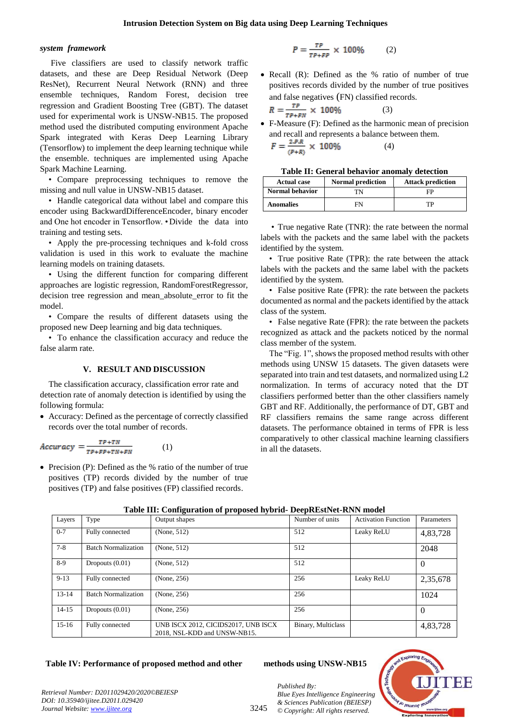#### *system framework*

Five classifiers are used to classify network traffic datasets, and these are Deep Residual Network (Deep ResNet), Recurrent Neural Network (RNN) and three ensemble techniques, Random Forest, decision tree regression and Gradient Boosting Tree (GBT). The dataset used for experimental work is UNSW-NB15. The proposed method used the distributed computing environment Apache Spark integrated with Keras Deep Learning Library (Tensorflow) to implement the deep learning technique while the ensemble. techniques are implemented using Apache Spark Machine Learning.

• Compare preprocessing techniques to remove the missing and null value in UNSW-NB15 dataset.

• Handle categorical data without label and compare this encoder using BackwardDifferenceEncoder, binary encoder and One hot encoder in Tensorflow. •Divide the data into training and testing sets.

• Apply the pre-processing techniques and k-fold cross validation is used in this work to evaluate the machine learning models on training datasets.

• Using the different function for comparing different approaches are logistic regression, RandomForestRegressor, decision tree regression and mean\_absolute\_error to fit the model.

• Compare the results of different datasets using the proposed new Deep learning and big data techniques.

• To enhance the classification accuracy and reduce the false alarm rate.

#### **V. RESULT AND DISCUSSION**

The classification accuracy, classification error rate and detection rate of anomaly detection is identified by using the following formula:

 Accuracy: Defined as the percentage of correctly classified records over the total number of records.

$$
Accuracy = \frac{TP + TN}{TP + FP + TN + FN} \tag{1}
$$

• Precision (P): Defined as the % ratio of the number of true positives (TP) records divided by the number of true positives (TP) and false positives (FP) classified records.

$$
P = \frac{\tau P}{\tau P + F P} \times 100\% \tag{2}
$$

• Recall (R): Defined as the % ratio of number of true positives records divided by the number of true positives and false negatives (FN) classified records.

$$
R = \frac{TP}{TP + FN} \times 100\%
$$
 (3)

 F-Measure (F): Defined as the harmonic mean of precision and recall and represents a balance between them.

$$
F = \frac{2.3 \cdot R}{(P+R)} \times 100\%
$$
 (4)

| Table II: General behavior anomaly detection |  |  |  |  |
|----------------------------------------------|--|--|--|--|
|----------------------------------------------|--|--|--|--|

| <b>Actual case</b>     | <b>Normal prediction</b> | <b>Attack prediction</b> |
|------------------------|--------------------------|--------------------------|
| <b>Normal behavior</b> | TΝ                       | FP                       |
| <b>Anomalies</b>       | FN                       | тp                       |

• True negative Rate (TNR): the rate between the normal labels with the packets and the same label with the packets identified by the system.

• True positive Rate (TPR): the rate between the attack labels with the packets and the same label with the packets identified by the system.

• False positive Rate (FPR): the rate between the packets documented as normal and the packets identified by the attack class of the system.

• False negative Rate (FPR): the rate between the packets recognized as attack and the packets noticed by the normal class member of the system.

The "Fig. 1", shows the proposed method results with other methods using UNSW 15 datasets. The given datasets were separated into train and test datasets, and normalized using L2 normalization. In terms of accuracy noted that the DT classifiers performed better than the other classifiers namely GBT and RF. Additionally, the performance of DT, GBT and RF classifiers remains the same range across different datasets. The performance obtained in terms of FPR is less comparatively to other classical machine learning classifiers in all the datasets.

| Layers    | Type                       | Output shapes                                                       | Number of units    | <b>Activation Function</b> | Parameters |
|-----------|----------------------------|---------------------------------------------------------------------|--------------------|----------------------------|------------|
| $0 - 7$   | Fully connected            | (None, 512)                                                         | 512                | Leaky ReLU                 | 4,83,728   |
| $7-8$     | <b>Batch Normalization</b> | (None, 512)                                                         | 512                |                            | 2048       |
| 8-9       | Dropouts $(0.01)$          | (None, 512)                                                         | 512                |                            | $\Omega$   |
| $9 - 13$  | Fully connected            | (None, 256)                                                         | 256                | Leaky ReLU                 | 2,35,678   |
| $13 - 14$ | <b>Batch Normalization</b> | (None, 256)                                                         | 256                |                            | 1024       |
| $14 - 15$ | Dropouts $(0.01)$          | (None, 256)                                                         | 256                |                            | $\Omega$   |
| $15-16$   | Fully connected            | UNB ISCX 2012, CICIDS2017, UNB ISCX<br>2018, NSL-KDD and UNSW-NB15. | Binary, Multiclass |                            | 4,83,728   |

**Table III: Configuration of proposed hybrid- DeepREstNet-RNN model**

# **Table IV: Performance of proposed method and other methods using UNSW-NB15**

*& Sciences Publication (BEIESP) © Copyright: All rights reserved.*

*Published By:*



*Retrieval Number: D2011029420/2020©BEIESP DOI: 10.35940/ijitee.D2011.029420 Journal Website: www.ijitee.org*

3245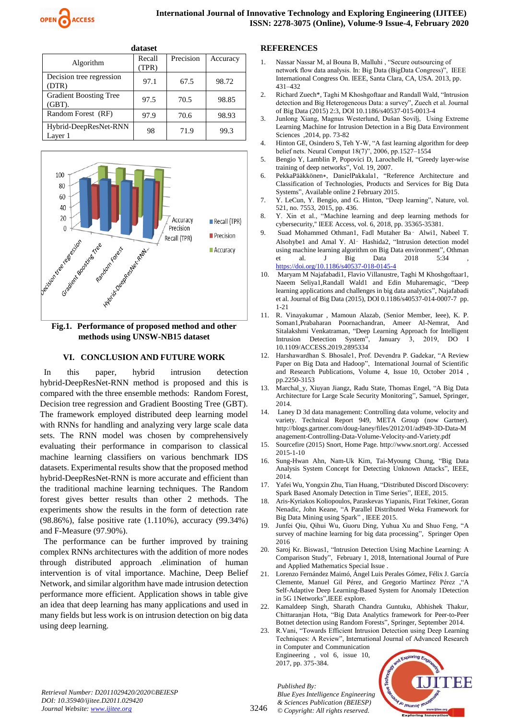

| dataset                                    |                 |           |          |
|--------------------------------------------|-----------------|-----------|----------|
| Algorithm                                  | Recall<br>(TPR) | Precision | Accuracy |
| Decision tree regression<br>(DTR)          | 97.1            | 67.5      | 98.72    |
| <b>Gradient Boosting Tree</b><br>$(GBT)$ . | 97.5            | 70.5      | 98.85    |
| Random Forest (RF)                         | 97.9            | 70.6      | 98.93    |
| Hybrid-DeepResNet-RNN<br>Laver 1           | 98              | 71.9      | 99.3     |



**Fig.1. Performance of proposed method and other methods using UNSW-NB15 dataset**

#### **VI. CONCLUSION AND FUTURE WORK**

In this paper, hybrid intrusion detection hybrid-DeepResNet-RNN method is proposed and this is compared with the three ensemble methods: Random Forest, Decision tree regression and Gradient Boosting Tree (GBT). The framework employed distributed deep learning model with RNNs for handling and analyzing very large scale data sets. The RNN model was chosen by comprehensively evaluating their performance in comparison to classical machine learning classifiers on various benchmark IDS datasets. Experimental results show that the proposed method hybrid-DeepResNet-RNN is more accurate and efficient than the traditional machine learning techniques. The Random forest gives better results than other 2 methods. The experiments show the results in the form of detection rate (98.86%), false positive rate (1.110%), accuracy (99.34%) and F-Measure (97.90%).

The performance can be further improved by training complex RNNs architectures with the addition of more nodes through distributed approach .elimination of human intervention is of vital importance. Machine, Deep Belief Network, and similar algorithm have made intrusion detection performance more efficient. Application shows in table give an idea that deep learning has many applications and used in many fields but less work is on intrusion detection on big data using deep learning.

### **REFERENCES**

- 1. Nassar Nassar M, al Bouna B, Malluhi , "Secure outsourcing of network flow data analysis. In: Big Data (BigData Congress)", IEEE International Congress On. IEEE, Santa Clara, CA, USA. 2013, pp. 431–432
- 2. Richard Zuech\*, Taghi M Khoshgoftaar and Randall Wald, "Intrusion detection and Big Heterogeneous Data: a survey", Zuech et al. Journal of Big Data (2015) 2:3, DOI 10.1186/s40537-015-0013-4
- 3. Junlong Xiang, Magnus Westerlund, Dušan Sovilj, Using Extreme Learning Machine for Intrusion Detection in a Big Data Environment Sciences ,2014, pp. 73-82
- 4. Hinton GE, Osindero S, Teh Y-W, "A fast learning algorithm for deep belief nets. Neural Comput 18(7)", 2006, pp.1527–1554
- 5. Bengio Y, Lamblin P, Popovici D, Larochelle H, "Greedy layer-wise training of deep networks", Vol. 19, 2007.
- 6. PekkaPääkkönen∗, DanielPakkala1, "Reference Architecture and Classification of Technologies, Products and Services for Big Data Systems", Available online 2 February 2015.
- 7. Y. LeCun, Y. Bengio, and G. Hinton, "Deep learning", Nature, vol. 521, no. 7553, 2015, pp. 436.
- 8. Y. Xin et al., "Machine learning and deep learning methods for cybersecurity,'' IEEE Access, vol. 6, 2018, pp. 35365-35381.
- 9. Suad Mohammed Othman1, Fadl Mutaher Ba‑ Alwi1, Nabeel T. Alsohybe1 and Amal Y. Al‑ Hashida2, "Intrusion detection model using machine learning algorithm on Big Data environment", Othman et al. J Big Data 2018 5:34 , <https://doi.org/10.1186/s40537-018-0145-4>
- 10. Maryam M Najafabadi1, Flavio Villanustre, Taghi M Khoshgoftaar1, Naeem Seliya1,Randall Wald1 and Edin Muharemagic, "Deep learning applications and challenges in big data analytics", Najafabadi et al. Journal of Big Data (2015), DOI 0.1186/s40537-014-0007-7 pp. 1-21
- 11. R. Vinayakumar , Mamoun Alazab, (Senior Member, Ieee), K. P. Soman1,Prabaharan Poornachandran, Ameer Al-Nemrat, And Sitalakshmi Venkatraman, "Deep Learning Approach for Intelligent Intrusion Detection System", January 3, 2019, DO I 10.1109/ACCESS.2019.2895334
- 12. Harshawardhan S. Bhosale1, Prof. Devendra P. Gadekar, "A Review Paper on Big Data and Hadoop", International Journal of Scientific and Research Publications, Volume 4, Issue 10, October 2014 , pp.2250-3153
- 13. Marchal\_y, Xiuyan Jiangz, Radu State, Thomas Engel, "A Big Data Architecture for Large Scale Security Monitoring", Samuel, Springer, 2014.
- 14. Laney D 3d data management: Controlling data volume, velocity and variety. Technical Report 949, META Group (now Gartner). http://blogs.gartner.com/doug-laney/files/2012/01/ad949-3D-Data-M anagement-Controlling-Data-Volume-Velocity-and-Variety.pdf
- 15. Sourcefire (2015) Snort, Home Page. http://www.snort.org/. Accessed 2015-1-10
- 16. Sung-Hwan Ahn, Nam-Uk Kim, Tai-Myoung Chung, "Big Data Analysis System Concept for Detecting Unknown Attacks", IEEE, 2014.
- 17. Yafei Wu, Yongxin Zhu, Tian Huang, "Distributed Discord Discovery: Spark Based Anomaly Detection in Time Series", IEEE, 2015.
- 18. Aris-Kyriakos Koliopoulos, Paraskevas Yiapanis, Firat Tekiner, Goran Nenadic, John Keane, "A Parallel Distributed Weka Framework for Big Data Mining using Spark" , IEEE 2015.
- 19. Junfei Qiu, Qihui Wu, Guoru Ding, Yuhua Xu and Shuo Feng, "A survey of machine learning for big data processing", Springer Open 2016
- 20. Saroj Kr. Biswas1, "Intrusion Detection Using Machine Learning: A Comparison Study", February 1, 2018, International Journal of Pure and Applied Mathematics Special Issue .
- 21. Lorenzo Fernández Maimó, Ángel Luis Perales Gómez, Félix J. García Clemente, Manuel Gil Pérez, and Gregorio Martínez Pérez ,"A Self-Adaptive Deep Learning-Based System for Anomaly 1Detection in 5G 1Networks",IEEE explore.
- 22. Kamaldeep Singh, Sharath Chandra Guntuku, Abhishek Thakur, Chittaranjan Hota, "Big Data Analytics framework for Peer-to-Peer Botnet detection using Random Forests", Springer, September 2014.
- 23. R.Vani, "Towards Efficient Intrusion Detection using Deep Learning Techniques: A Review", International Journal of Advanced Research in Computer and Communication Engineering , vol 6, issue 10, 2017, pp. 375-384.

*Published By: Blue Eyes Intelligence Engineering & Sciences Publication (BEIESP) © Copyright: All rights reserved.*



*Retrieval Number: D2011029420/2020©BEIESP DOI: 10.35940/ijitee.D2011.029420 Journal Website: www.ijitee.org*

3246